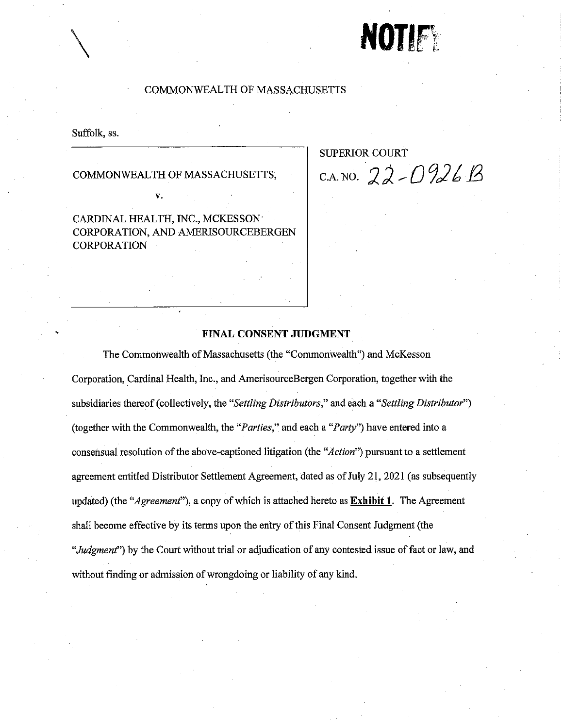# NOTIFY

#### **COMMONWEALTH OF MASSACHUSETTS**

Suffolk, ss.

COMMONWEALTH OF MASSACHUSETTS,

V.

CARDINAL HEALTH, INC., MCKESSON CORPORATION, AND AMERISOURCEBERGEN **CORPORATION** 

**SUPERIOR COURT** C.A. NO.  $22 - 0926B$ 

#### FINAL CONSENT JUDGMENT

The Commonwealth of Massachusetts (the "Commonwealth") and McKesson Corporation, Cardinal Health, Inc., and AmerisourceBergen Corporation, together with the subsidiaries thereof (collectively, the "Settling Distributors," and each a "Settling Distributor") (together with the Commonwealth, the "*Parties*," and each a "*Party*") have entered into a consensual resolution of the above-captioned litigation (the "Action") pursuant to a settlement agreement entitled Distributor Settlement Agreement, dated as of July 21, 2021 (as subsequently updated) (the "Agreement"), a copy of which is attached hereto as **Exhibit 1**. The Agreement shall become effective by its terms upon the entry of this Final Consent Judgment (the "Judgment") by the Court without trial or adjudication of any contested issue of fact or law, and without finding or admission of wrongdoing or liability of any kind.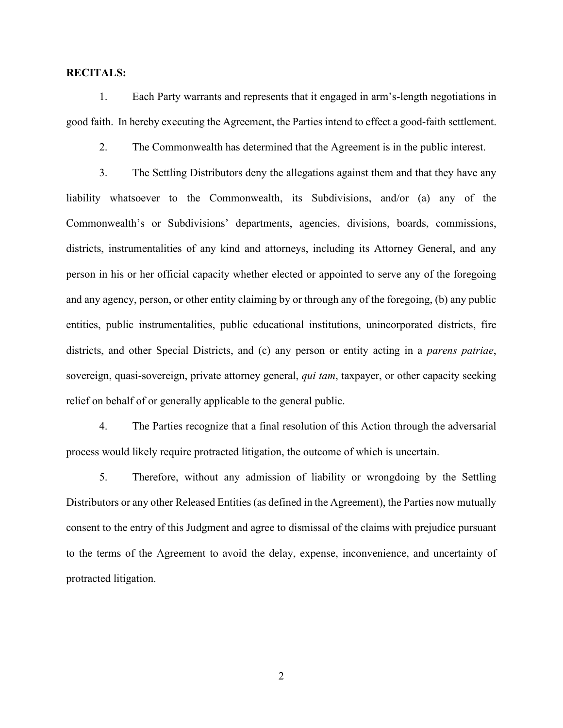#### **RECITALS:**

1. Each Party warrants and represents that it engaged in arm's-length negotiations in good faith. In hereby executing the Agreement, the Parties intend to effect a good-faith settlement.

2. The Commonwealth has determined that the Agreement is in the public interest.

3. The Settling Distributors deny the allegations against them and that they have any liability whatsoever to the Commonwealth, its Subdivisions, and/or (a) any of the Commonwealth's or Subdivisions' departments, agencies, divisions, boards, commissions, districts, instrumentalities of any kind and attorneys, including its Attorney General, and any person in his or her official capacity whether elected or appointed to serve any of the foregoing and any agency, person, or other entity claiming by or through any of the foregoing, (b) any public entities, public instrumentalities, public educational institutions, unincorporated districts, fire districts, and other Special Districts, and (c) any person or entity acting in a *parens patriae*, sovereign, quasi-sovereign, private attorney general, *qui tam*, taxpayer, or other capacity seeking relief on behalf of or generally applicable to the general public.

4. The Parties recognize that a final resolution of this Action through the adversarial process would likely require protracted litigation, the outcome of which is uncertain.

5. Therefore, without any admission of liability or wrongdoing by the Settling Distributors or any other Released Entities (as defined in the Agreement), the Parties now mutually consent to the entry of this Judgment and agree to dismissal of the claims with prejudice pursuant to the terms of the Agreement to avoid the delay, expense, inconvenience, and uncertainty of protracted litigation.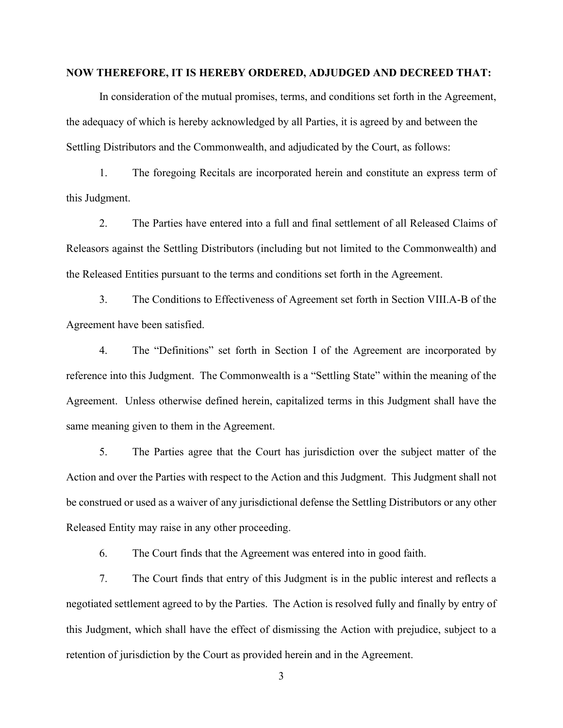#### **NOW THEREFORE, IT IS HEREBY ORDERED, ADJUDGED AND DECREED THAT:**

In consideration of the mutual promises, terms, and conditions set forth in the Agreement, the adequacy of which is hereby acknowledged by all Parties, it is agreed by and between the Settling Distributors and the Commonwealth, and adjudicated by the Court, as follows:

1. The foregoing Recitals are incorporated herein and constitute an express term of this Judgment.

2. The Parties have entered into a full and final settlement of all Released Claims of Releasors against the Settling Distributors (including but not limited to the Commonwealth) and the Released Entities pursuant to the terms and conditions set forth in the Agreement.

3. The Conditions to Effectiveness of Agreement set forth in Section VIII.A-B of the Agreement have been satisfied.

4. The "Definitions" set forth in Section I of the Agreement are incorporated by reference into this Judgment. The Commonwealth is a "Settling State" within the meaning of the Agreement. Unless otherwise defined herein, capitalized terms in this Judgment shall have the same meaning given to them in the Agreement.

5. The Parties agree that the Court has jurisdiction over the subject matter of the Action and over the Parties with respect to the Action and this Judgment. This Judgment shall not be construed or used as a waiver of any jurisdictional defense the Settling Distributors or any other Released Entity may raise in any other proceeding.

6. The Court finds that the Agreement was entered into in good faith.

7. The Court finds that entry of this Judgment is in the public interest and reflects a negotiated settlement agreed to by the Parties. The Action is resolved fully and finally by entry of this Judgment, which shall have the effect of dismissing the Action with prejudice, subject to a retention of jurisdiction by the Court as provided herein and in the Agreement.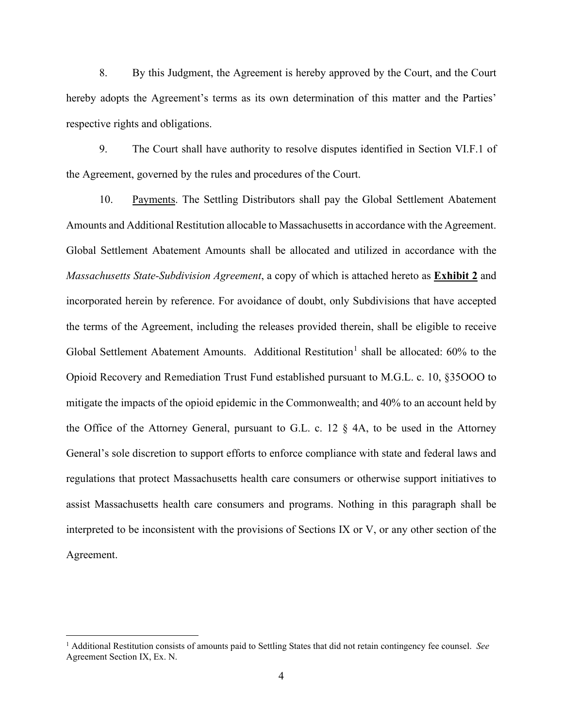8. By this Judgment, the Agreement is hereby approved by the Court, and the Court hereby adopts the Agreement's terms as its own determination of this matter and the Parties' respective rights and obligations.

9. The Court shall have authority to resolve disputes identified in Section VI.F.1 of the Agreement, governed by the rules and procedures of the Court.

10. Payments. The Settling Distributors shall pay the Global Settlement Abatement Amounts and Additional Restitution allocable to Massachusetts in accordance with the Agreement. Global Settlement Abatement Amounts shall be allocated and utilized in accordance with the *Massachusetts State-Subdivision Agreement*, a copy of which is attached hereto as **Exhibit 2** and incorporated herein by reference. For avoidance of doubt, only Subdivisions that have accepted the terms of the Agreement, including the releases provided therein, shall be eligible to receive Global Settlement Abatement Amounts. Additional Restitution<sup>1</sup> shall be allocated:  $60\%$  to the Opioid Recovery and Remediation Trust Fund established pursuant to M.G.L. c. 10, §35OOO to mitigate the impacts of the opioid epidemic in the Commonwealth; and 40% to an account held by the Office of the Attorney General, pursuant to G.L. c. 12 § 4A, to be used in the Attorney General's sole discretion to support efforts to enforce compliance with state and federal laws and regulations that protect Massachusetts health care consumers or otherwise support initiatives to assist Massachusetts health care consumers and programs. Nothing in this paragraph shall be interpreted to be inconsistent with the provisions of Sections IX or V, or any other section of the Agreement.

<sup>1</sup> Additional Restitution consists of amounts paid to Settling States that did not retain contingency fee counsel. *See* Agreement Section IX, Ex. N.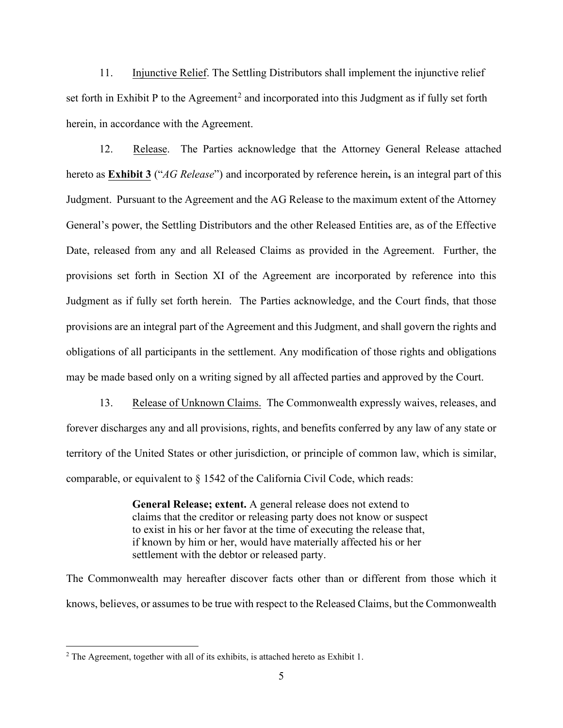11. Injunctive Relief. The Settling Distributors shall implement the injunctive relief set forth in Exhibit P to the Agreement<sup>2</sup> and incorporated into this Judgment as if fully set forth herein, in accordance with the Agreement.

12. Release. The Parties acknowledge that the Attorney General Release attached hereto as **Exhibit 3** ("*AG Release*") and incorporated by reference herein**,** is an integral part of this Judgment. Pursuant to the Agreement and the AG Release to the maximum extent of the Attorney General's power, the Settling Distributors and the other Released Entities are, as of the Effective Date, released from any and all Released Claims as provided in the Agreement. Further, the provisions set forth in Section XI of the Agreement are incorporated by reference into this Judgment as if fully set forth herein. The Parties acknowledge, and the Court finds, that those provisions are an integral part of the Agreement and this Judgment, and shall govern the rights and obligations of all participants in the settlement. Any modification of those rights and obligations may be made based only on a writing signed by all affected parties and approved by the Court.

13. Release of Unknown Claims. The Commonwealth expressly waives, releases, and forever discharges any and all provisions, rights, and benefits conferred by any law of any state or territory of the United States or other jurisdiction, or principle of common law, which is similar, comparable, or equivalent to § 1542 of the California Civil Code, which reads:

> **General Release; extent.** A general release does not extend to claims that the creditor or releasing party does not know or suspect to exist in his or her favor at the time of executing the release that, if known by him or her, would have materially affected his or her settlement with the debtor or released party.

The Commonwealth may hereafter discover facts other than or different from those which it knows, believes, or assumes to be true with respect to the Released Claims, but the Commonwealth

<sup>&</sup>lt;sup>2</sup> The Agreement, together with all of its exhibits, is attached hereto as Exhibit 1.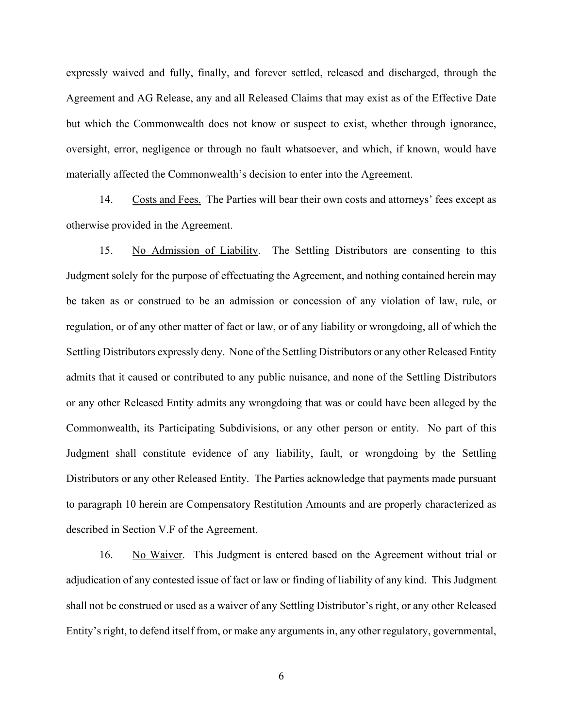expressly waived and fully, finally, and forever settled, released and discharged, through the Agreement and AG Release, any and all Released Claims that may exist as of the Effective Date but which the Commonwealth does not know or suspect to exist, whether through ignorance, oversight, error, negligence or through no fault whatsoever, and which, if known, would have materially affected the Commonwealth's decision to enter into the Agreement.

14. Costs and Fees. The Parties will bear their own costs and attorneys' fees except as otherwise provided in the Agreement.

15. No Admission of Liability. The Settling Distributors are consenting to this Judgment solely for the purpose of effectuating the Agreement, and nothing contained herein may be taken as or construed to be an admission or concession of any violation of law, rule, or regulation, or of any other matter of fact or law, or of any liability or wrongdoing, all of which the Settling Distributors expressly deny. None of the Settling Distributors or any other Released Entity admits that it caused or contributed to any public nuisance, and none of the Settling Distributors or any other Released Entity admits any wrongdoing that was or could have been alleged by the Commonwealth, its Participating Subdivisions, or any other person or entity. No part of this Judgment shall constitute evidence of any liability, fault, or wrongdoing by the Settling Distributors or any other Released Entity. The Parties acknowledge that payments made pursuant to paragraph 10 herein are Compensatory Restitution Amounts and are properly characterized as described in Section V.F of the Agreement.

16. No Waiver. This Judgment is entered based on the Agreement without trial or adjudication of any contested issue of fact or law or finding of liability of any kind. This Judgment shall not be construed or used as a waiver of any Settling Distributor's right, or any other Released Entity's right, to defend itself from, or make any arguments in, any other regulatory, governmental,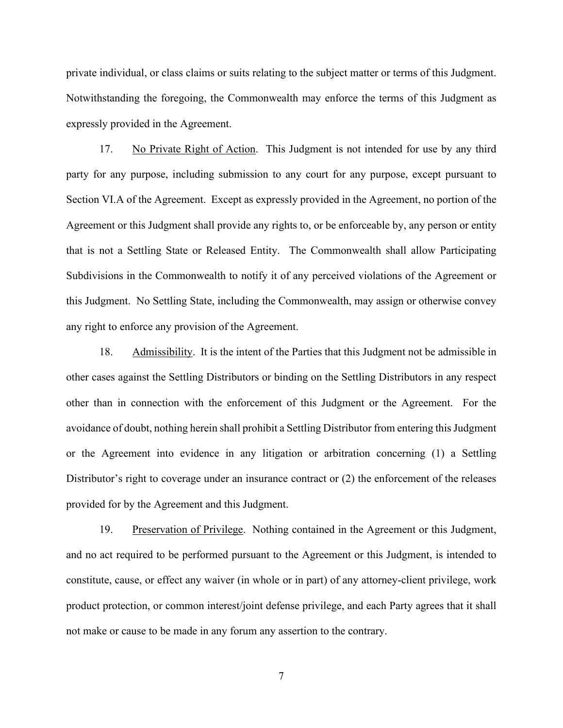private individual, or class claims or suits relating to the subject matter or terms of this Judgment. Notwithstanding the foregoing, the Commonwealth may enforce the terms of this Judgment as expressly provided in the Agreement.

17. No Private Right of Action. This Judgment is not intended for use by any third party for any purpose, including submission to any court for any purpose, except pursuant to Section VI.A of the Agreement. Except as expressly provided in the Agreement, no portion of the Agreement or this Judgment shall provide any rights to, or be enforceable by, any person or entity that is not a Settling State or Released Entity. The Commonwealth shall allow Participating Subdivisions in the Commonwealth to notify it of any perceived violations of the Agreement or this Judgment. No Settling State, including the Commonwealth, may assign or otherwise convey any right to enforce any provision of the Agreement.

18. Admissibility. It is the intent of the Parties that this Judgment not be admissible in other cases against the Settling Distributors or binding on the Settling Distributors in any respect other than in connection with the enforcement of this Judgment or the Agreement. For the avoidance of doubt, nothing herein shall prohibit a Settling Distributor from entering this Judgment or the Agreement into evidence in any litigation or arbitration concerning (1) a Settling Distributor's right to coverage under an insurance contract or (2) the enforcement of the releases provided for by the Agreement and this Judgment.

19. Preservation of Privilege. Nothing contained in the Agreement or this Judgment, and no act required to be performed pursuant to the Agreement or this Judgment, is intended to constitute, cause, or effect any waiver (in whole or in part) of any attorney-client privilege, work product protection, or common interest/joint defense privilege, and each Party agrees that it shall not make or cause to be made in any forum any assertion to the contrary.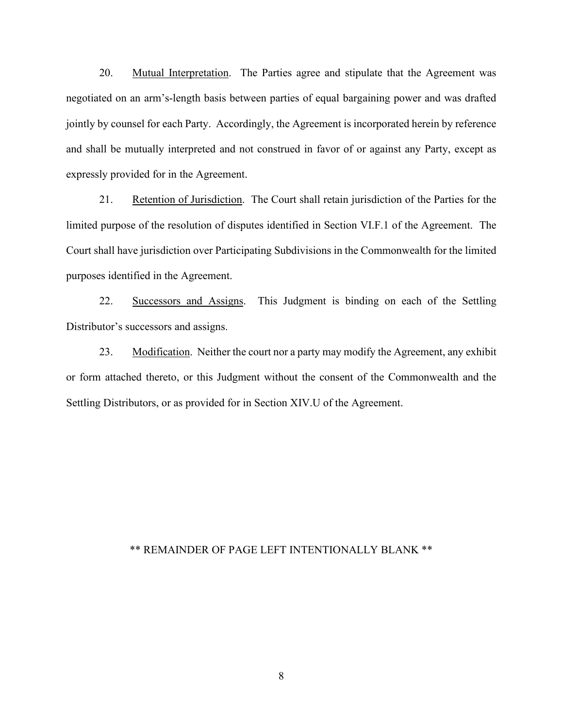20. Mutual Interpretation. The Parties agree and stipulate that the Agreement was negotiated on an arm's-length basis between parties of equal bargaining power and was drafted jointly by counsel for each Party. Accordingly, the Agreement is incorporated herein by reference and shall be mutually interpreted and not construed in favor of or against any Party, except as expressly provided for in the Agreement.

21. Retention of Jurisdiction. The Court shall retain jurisdiction of the Parties for the limited purpose of the resolution of disputes identified in Section VI.F.1 of the Agreement. The Court shall have jurisdiction over Participating Subdivisions in the Commonwealth for the limited purposes identified in the Agreement.

22. Successors and Assigns. This Judgment is binding on each of the Settling Distributor's successors and assigns.

23. Modification. Neither the court nor a party may modify the Agreement, any exhibit or form attached thereto, or this Judgment without the consent of the Commonwealth and the Settling Distributors, or as provided for in Section XIV.U of the Agreement.

# \*\* REMAINDER OF PAGE LEFT INTENTIONALLY BLANK \*\*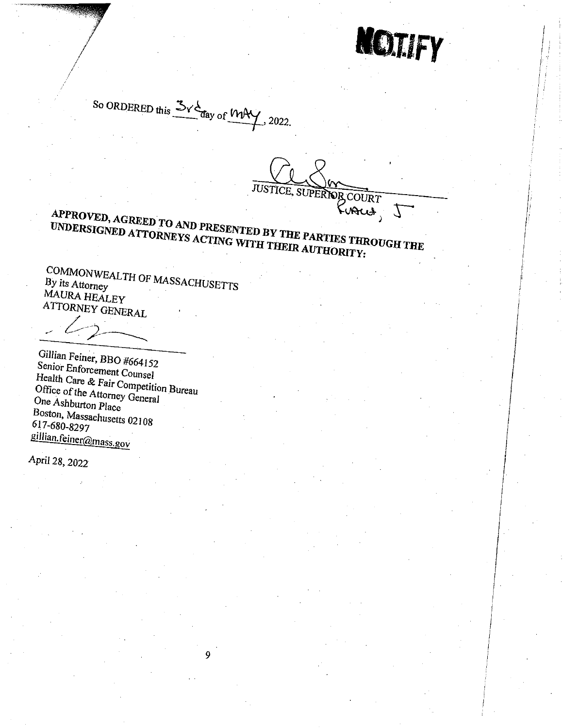**NOTIFY** 

So ORDERED this  $\frac{3}{100}$  day of  $\frac{104}{100}$ , 2022.

JUSTICE, SUPERIOR COURT Furus,

# APPROVED, AGREED TO AND PRESENTED BY THE PARTIES THROUGH THE UNDERSIGNED ATTORNEYS ACTING WITH THEIR AUTHORITY:

COMMONWEALTH OF MASSACHUSETTS By its Attorney MAURA HEALEY ATTORNEY GENERAL

Gillian Feiner, BBO #664152 Senior Enforcement Counsel Health Care & Fair Competition Bureau Office of the Attorney General One Ashburton Place Boston, Massachusetts 02108 617-680-8297 gillian.feiner@mass.gov

April 28, 2022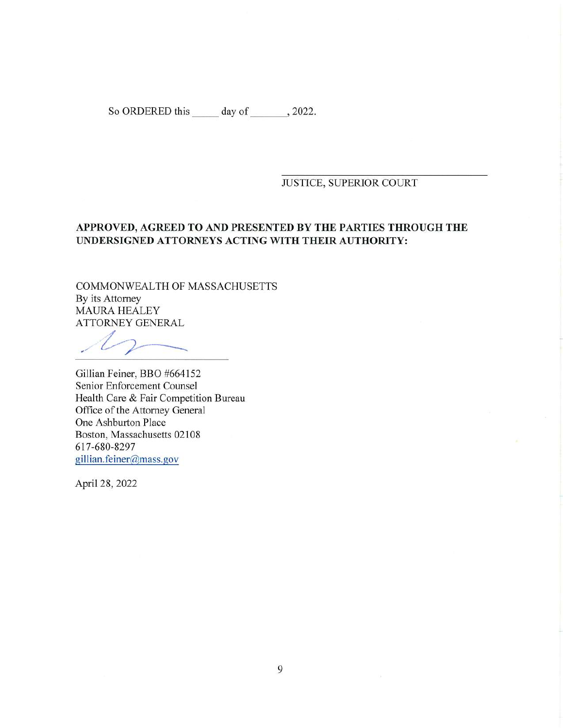So ORDERED this \_\_\_\_\_ day of \_\_\_\_\_\_\_, 2022.

#### JUSTICE, SUPERIOR COURT

# **APPROVED, AGREED TO AND PRESENTED BY THE PARTIES THROUGH THE UNDERSIGNED ATTORNEYS ACTING WITH THEIR AUTHORITY:**

COMMONWEALTH OF MASSACHUSETTS By its Attorney MAURA HEALEY ATTORNEY GENERAL

Gillian Feiner, BBO #664152 Senior Enforcement Counsel Health Care & Fair Competition Bureau Office of the Attorney General One Ashburton Place Boston, Massachusetts 02108 617-680-8297 [gillian.feiner@mass.gov](mailto:gillian.feiner@mass.gov)

April 28, 2022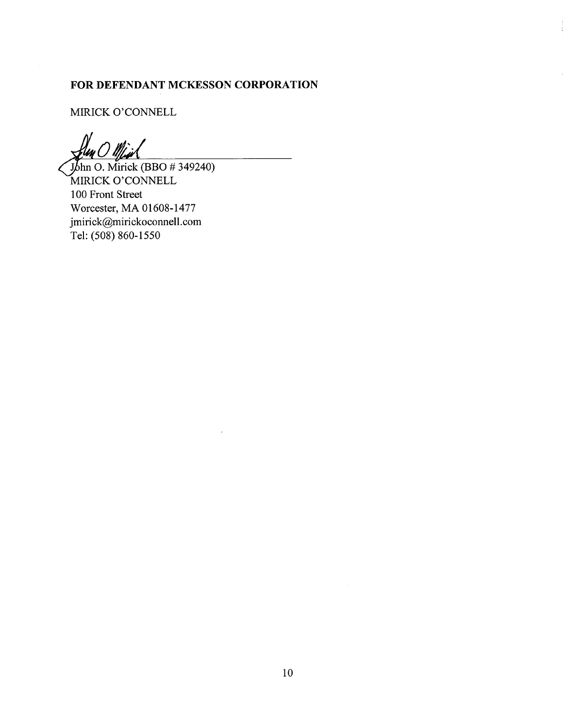# FOR DEFENDANT MCKESSON CORPORATION

MIRICK O'CONNELL

John O. Mirick (BBO # 349240) MIRICK O'CONNELL 100 Front Street Worcester, MA 01608-1477 jmirick@mirickoconnell.com Tel: (508) 860-1550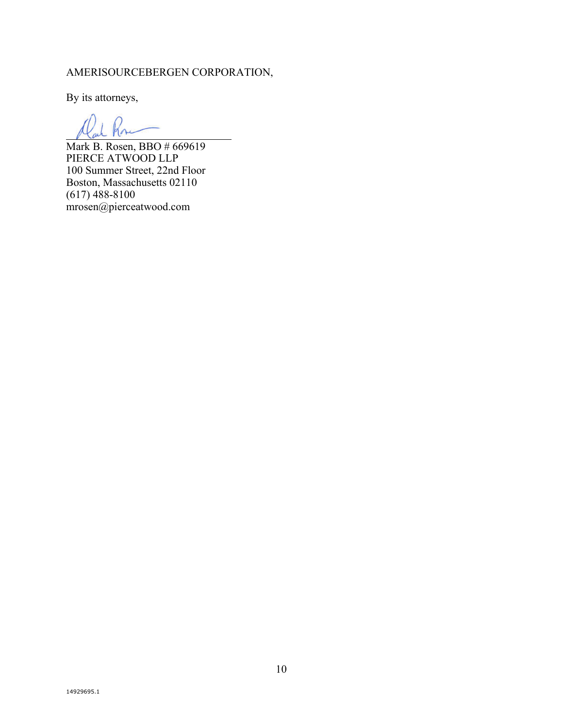# AMERISOURCEBERGEN CORPORATION,

By its attorneys,

 $\overline{\phantom{a}}$ 

Mark B. Rosen, BBO # 669619 PIERCE ATWOOD LLP 100 Summer Street, 22nd Floor Boston, Massachusetts 02110 (617) 488-8100 mrosen@pierceatwood.com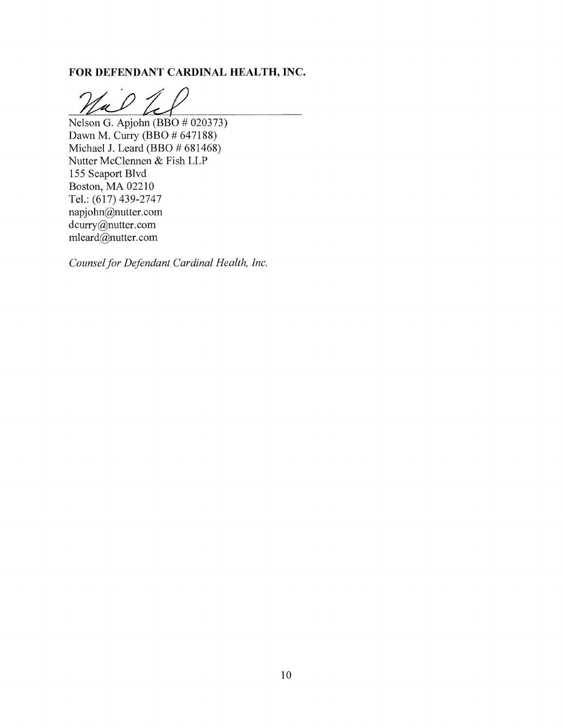# FOR DEFENDANT CARDINAL HEALTH, INC.

Nal 7

Nelson G. Apjohn (BBO # 020373) Dawn M. Curry (BBO # 647188) Michael J. Leard (BBO # 681468) Nutter McClennen & Fish LLP 155 Seaport Blvd Boston, MA 02210 Tel.: (617) 439-2747 napjohn@nutter.com dcurry@nutter.com mleard@nutter.com

Counsel for Defendant Cardinal Health, Inc.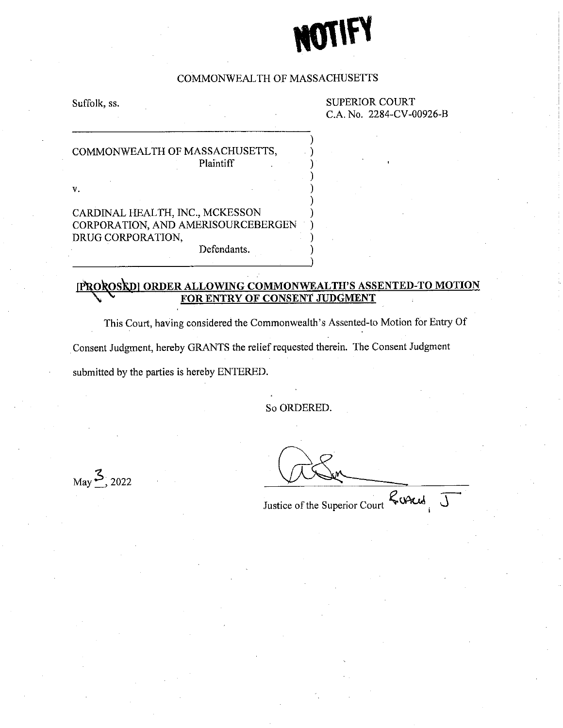#### COMMONWEALTH OF MASSACHUSETTS

Suffolk, ss.

**SUPERIOR COURT** C.A. No. 2284-CV-00926-B

### COMMONWEALTH OF MASSACHUSETTS, Plaintiff

 $\mathbf{v}$ .

CARDINAL HEALTH, INC., MCKESSON CORPORATION, AND AMERISOURCEBERGEN DRUG CORPORATION,

Defendants.

#### PROROSRDI ORDER ALLOWING COMMONWEALTH'S ASSENTED-TO MOTION **CONSENT JUDGMENT** ОF FOR

This Court, having considered the Commonwealth's Assented-to Motion for Entry Of Consent Judgment, hereby GRANTS the relief requested therein. The Consent Judgment submitted by the parties is hereby ENTERED.

So ORDERED.

 $_{\text{May}}$  3, 2022

Justice of the Superior Court Land